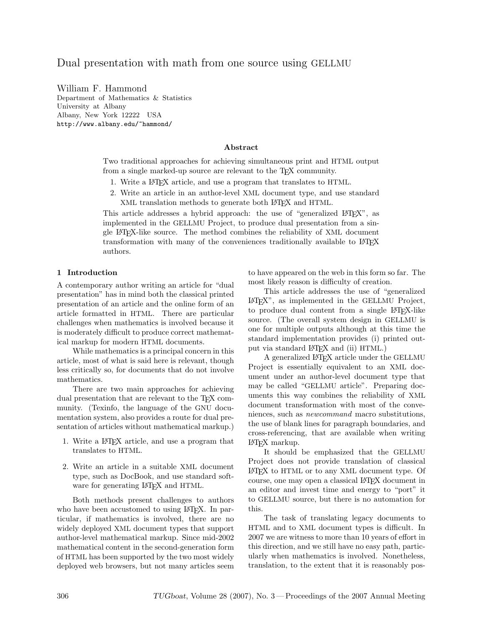# Dual presentation with math from one source using GELLMU

William F. Hammond Department of Mathematics & Statistics University at Albany Albany, New York 12222 USA http://www.albany.edu/~hammond/

#### Abstract

Two traditional approaches for achieving simultaneous print and HTML output from a single marked-up source are relevant to the T<sub>EX</sub> community.

- 1. Write a LATEX article, and use a program that translates to HTML.
- 2. Write an article in an author-level XML document type, and use standard XML translation methods to generate both L<sup>AT</sup>EX and HTML.

This article addresses a hybrid approach: the use of "generalized  $L^2T_FX$ ", as implemented in the GELLMU Project, to produce dual presentation from a single LATEX-like source. The method combines the reliability of XML document transformation with many of the conveniences traditionally available to LATEX authors.

## 1 Introduction

A contemporary author writing an article for "dual presentation" has in mind both the classical printed presentation of an article and the online form of an article formatted in HTML. There are particular challenges when mathematics is involved because it is moderately difficult to produce correct mathematical markup for modern HTML documents.

While mathematics is a principal concern in this article, most of what is said here is relevant, though less critically so, for documents that do not involve mathematics.

There are two main approaches for achieving dual presentation that are relevant to the T<sub>EX</sub> community. (Texinfo, the language of the GNU documentation system, also provides a route for dual presentation of articles without mathematical markup.)

- 1. Write a LATEX article, and use a program that translates to HTML.
- 2. Write an article in a suitable XML document type, such as DocBook, and use standard software for generating LAT<sub>E</sub>X and HTML.

Both methods present challenges to authors who have been accustomed to using LAT<sub>EX</sub>. In particular, if mathematics is involved, there are no widely deployed XML document types that support author-level mathematical markup. Since mid-2002 mathematical content in the second-generation form of HTML has been supported by the two most widely deployed web browsers, but not many articles seem to have appeared on the web in this form so far. The most likely reason is difficulty of creation.

This article addresses the use of "generalized LATEX", as implemented in the GELLMU Project, to produce dual content from a single LATEX-like source. (The overall system design in GELLMU is one for multiple outputs although at this time the standard implementation provides (i) printed output via standard LATEX and (ii) HTML.)

A generalized LATEX article under the GELLMU Project is essentially equivalent to an XML document under an author-level document type that may be called "GELLMU article". Preparing documents this way combines the reliability of XML document transformation with most of the conveniences, such as newcommand macro substitutions, the use of blank lines for paragraph boundaries, and cross-referencing, that are available when writing LATEX markup.

It should be emphasized that the GELLMU Project does not provide translation of classical LATEX to HTML or to any XML document type. Of course, one may open a classical LATEX document in an editor and invest time and energy to "port" it to GELLMU source, but there is no automation for this.

The task of translating legacy documents to HTML and to XML document types is difficult. In 2007 we are witness to more than 10 years of effort in this direction, and we still have no easy path, particularly when mathematics is involved. Nonetheless, translation, to the extent that it is reasonably pos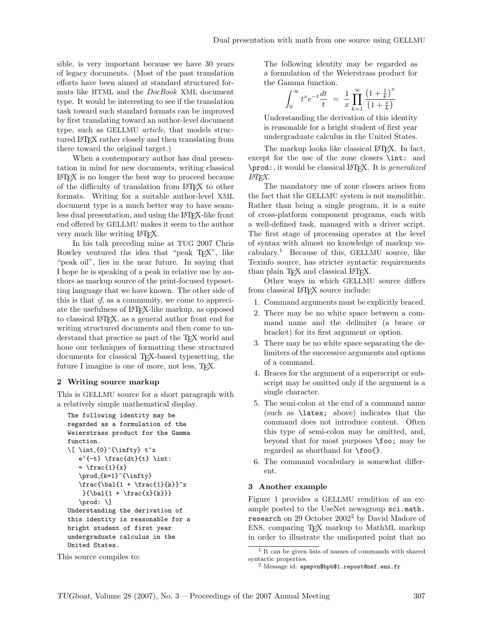sible, is very important because we have 30 years of legacy documents. (Most of the past translation efforts have been aimed at standard structured formats like HTML and the DocBook XML document type. It would be interesting to see if the translation task toward such standard formats can be improved by first translating toward an author-level document type, such as GELLMU article, that models structured LATEX rather closely and then translating from there toward the original target.)

When a contemporary author has dual presentation in mind for new documents, writing classical LATEX is no longer the best way to proceed because of the difficulty of translation from LATEX to other formats. Writing for a suitable author-level XML document type is a much better way to have seamless dual presentation, and using the LATEX-like front end offered by GELLMU makes it seem to the author very much like writing LATEX.

In his talk preceding mine at TUG 2007 Chris Rowley ventured the idea that "peak T<sub>EX</sub>", like "peak oil", lies in the near future. In saying that I hope he is speaking of a peak in relative use by authors as markup source of the print-focused typesetting language that we have known. The other side of this is that if, as a community, we come to appreciate the usefulness of LATEX-like markup, as opposed to classical LATEX, as a general author front end for writing structured documents and then come to understand that practice as part of the T<sub>EX</sub> world and hone our techniques of formatting these structured documents for classical TEX-based typesetting, the future I imagine is one of more, not less, T<sub>F</sub>X.

#### 2 Writing source markup

This is GELLMU source for a short paragraph with a relatively simple mathematical display.

```
The following identity may be
regarded as a formulation of the
Weierstrass product for the Gamma
function.
\lceil \int_{0}^{{\infty} t^x \rceil}e^{-t} \frac{dt}{t} \int= \frac{1}{x}\prod_{k=1}^{{\infty}}\frac{\b{1 + \frac{1}{k}}^x{\b{a} + \frac{x}{k}}\prod: \]
Understanding the derivation of
this identity is reasonable for a
bright student of first year
undergraduate calculus in the
United States.
```
The following identity may be regarded as a formulation of the Weierstrass product for the Gamma function.

$$
\int_0^\infty t^x e^{-t} \frac{dt}{t} = \frac{1}{x} \prod_{k=1}^\infty \frac{\left(1 + \frac{1}{k}\right)^x}{\left(1 + \frac{x}{k}\right)}
$$

Understanding the derivation of this identity is reasonable for a bright student of first year undergraduate calculus in the United States.

The markup looks like classical LATEX. In fact, except for the use of the zone closers \int: and \prod:, it would be classical LATEX. It is generalized LATEX.

The mandatory use of zone closers arises from the fact that the GELLMU system is not monolithic. Rather than being a single program, it is a suite of cross-platform component programs, each with a well-defined task, managed with a driver script. The first stage of processing operates at the level of syntax with almost no knowledge of markup vocabulary.<sup>1</sup> Because of this, GELLMU source, like Texinfo source, has stricter syntactic requirements than plain TEX and classical LATEX.

Other ways in which GELLMU source differs from classical LAT<sub>F</sub>X source include:

- 1. Command arguments must be explicitly braced.
- 2. There may be no white space between a command name and the delimiter (a brace or bracket) for its first argument or option.
- 3. There may be no white space separating the delimiters of the successive arguments and options of a command.
- 4. Braces for the argument of a superscript or subscript may be omitted only if the argument is a single character.
- 5. The semi-colon at the end of a command name (such as \latex; above) indicates that the command does not introduce content. Often this type of semi-colon may be omitted, and, beyond that for most purposes \foo; may be regarded as shorthand for \foo{}.
- 6. The command vocabulary is somewhat different.

#### 3 Another example

Figure 1 provides a GELLMU rendition of an example posted to the UseNet newsgroup sci.math. research on 29 October 2002<sup>2</sup> by David Madore of ENS, comparing TEX markup to MathML markup in order to illustrate the undisputed point that no

This source compiles to:

<sup>1</sup> It can be given lists of names of commands with shared syntactic properties.

 $^{2}$  Message id: apmpvn\$bpb\$1.repost@nef.ens.fr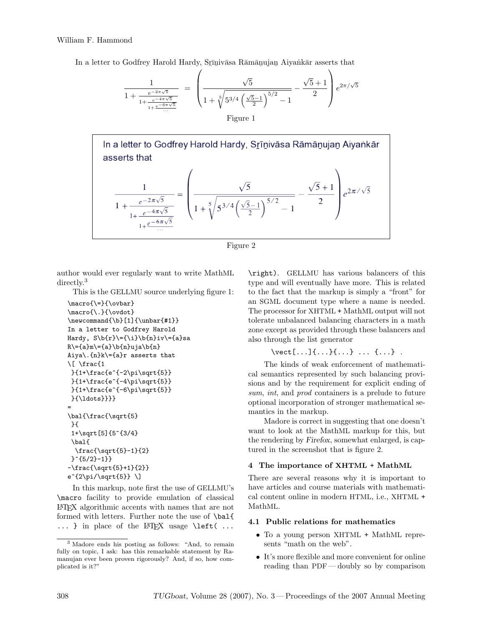#### William F. Hammond

In a letter to Godfrey Harold Hardy, Srīnivāsa Rāmānujan Aiyankār asserts that

$$
\frac{1}{1 + \frac{e^{-2\pi\sqrt{5}}}{1 + \frac{e^{-4\pi\sqrt{5}}}{1 + \frac{e^{-6\pi\sqrt{5}}}{\dots}}}} = \left(\frac{\sqrt{5}}{1 + \sqrt[5]{5^{3/4} (\frac{\sqrt{5} - 1}{2})^{5/2} - 1}} - \frac{\sqrt{5} + 1}{2}\right) e^{2\pi/\sqrt{5}}
$$
  
Figure 1





author would ever regularly want to write MathML directly.<sup>3</sup>

This is the GELLMU source underlying figure 1:

```
\macro{\=}{\ovbar}
\macro{\.}{\ovdot}
\newcommand{\b}[1]{\unbar{#1}}
In a letter to Godfrey Harold
Hardy, S\b{r}=\{\i}\b{n}\iv\ = {a}sa
R\left\{a\}m\right\} (a) h\in\{a\}Aiya\.{n}k\={a}r asserts that
\[ \frac{1
 }{1+\frac{e^{-2\pi\sqrt{5}}
 }{1+\frac{e^{-4\pi\sqrt{5}}
 }{1+\frac{e^{-6\pi\sqrt{5}}
 }{\ldots}}}}
=
\bal{\frac{\sqrt{5}
 }{
 1+\sqrt[5]{5^{3/4}
 \bal{
  \frac{\sqrt{5}-1}{2}
 }^{5/2}-1}}
-\frac{\sqrt{5}+1}{2}}
e^{2\pi/\sqrt{5}} \
```
In this markup, note first the use of GELLMU's \macro facility to provide emulation of classical LATEX algorithmic accents with names that are not formed with letters. Further note the use of \bal{ ... } in place of the LAT<sub>E</sub>X usage \left( ...

\right). GELLMU has various balancers of this type and will eventually have more. This is related to the fact that the markup is simply a "front" for an SGML document type where a name is needed. The processor for XHTML + MathML output will not tolerate unbalanced balancing characters in a math zone except as provided through these balancers and also through the list generator

```
\vect[...]{...}{...} ... {...} .
```
The kinds of weak enforcement of mathematical semantics represented by such balancing provisions and by the requirement for explicit ending of sum, int, and prod containers is a prelude to future optional incorporation of stronger mathematical semantics in the markup.

Madore is correct in suggesting that one doesn't want to look at the MathML markup for this, but the rendering by Firefox, somewhat enlarged, is captured in the screenshot that is figure 2.

#### 4 The importance of XHTML + MathML

There are several reasons why it is important to have articles and course materials with mathematical content online in modern HTML, i.e., XHTML + MathML.

#### 4.1 Public relations for mathematics

- To a young person XHTML + MathML represents "math on the web".
- It's more flexible and more convenient for online reading than PDF — doubly so by comparison

<sup>3</sup> Madore ends his posting as follows: "And, to remain fully on topic, I ask: has this remarkable statement by Ramanujan ever been proven rigorously? And, if so, how complicated is it?"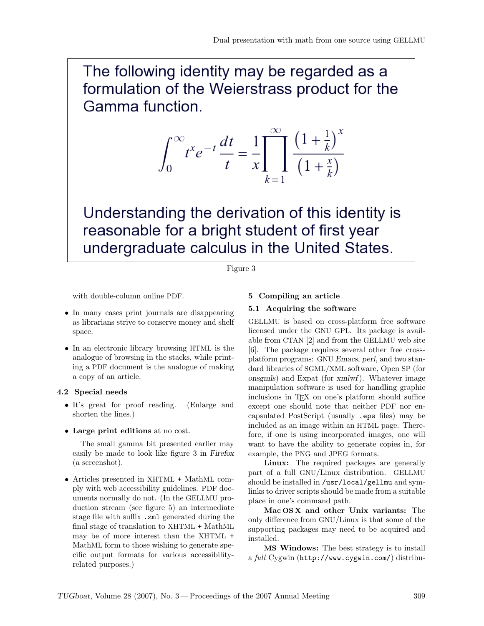The following identity may be regarded as a formulation of the Weierstrass product for the Gamma function.

$$
\int_0^\infty t^x e^{-t} \frac{dt}{t} = \frac{1}{x} \prod_{k=1}^\infty \frac{\left(1 + \frac{1}{k}\right)^x}{\left(1 + \frac{x}{k}\right)}
$$

Understanding the derivation of this identity is reasonable for a bright student of first year undergraduate calculus in the United States.

## Figure 3

with double-column online PDF.

- In many cases print journals are disappearing as librarians strive to conserve money and shelf space.
- In an electronic library browsing HTML is the analogue of browsing in the stacks, while printing a PDF document is the analogue of making a copy of an article.

#### 4.2 Special needs

- It's great for proof reading. (Enlarge and shorten the lines.)
- Large print editions at no cost.

The small gamma bit presented earlier may easily be made to look like figure 3 in Firefox (a screenshot).

• Articles presented in XHTML + MathML comply with web accessibility guidelines. PDF documents normally do not. (In the GELLMU production stream (see figure 5) an intermediate stage file with suffix .zml generated during the final stage of translation to XHTML + MathML may be of more interest than the XHTML + MathML form to those wishing to generate specific output formats for various accessibilityrelated purposes.)

## 5 Compiling an article

#### 5.1 Acquiring the software

GELLMU is based on cross-platform free software licensed under the GNU GPL. Its package is available from CTAN [2] and from the GELLMU web site [6]. The package requires several other free crossplatform programs: GNU Emacs, perl, and two standard libraries of SGML/XML software, Open SP (for onsgmls) and Expat (for xmlwf). Whatever image manipulation software is used for handling graphic inclusions in TEX on one's platform should suffice except one should note that neither PDF nor encapsulated PostScript (usually .eps files) may be included as an image within an HTML page. Therefore, if one is using incorporated images, one will want to have the ability to generate copies in, for example, the PNG and JPEG formats.

Linux: The required packages are generally part of a full GNU/Linux distribution. GELLMU should be installed in /usr/local/gellmu and symlinks to driver scripts should be made from a suitable place in one's command path.

Mac OS X and other Unix variants: The only difference from GNU/Linux is that some of the supporting packages may need to be acquired and installed.

MS Windows: The best strategy is to install a full Cygwin (http://www.cygwin.com/) distribu-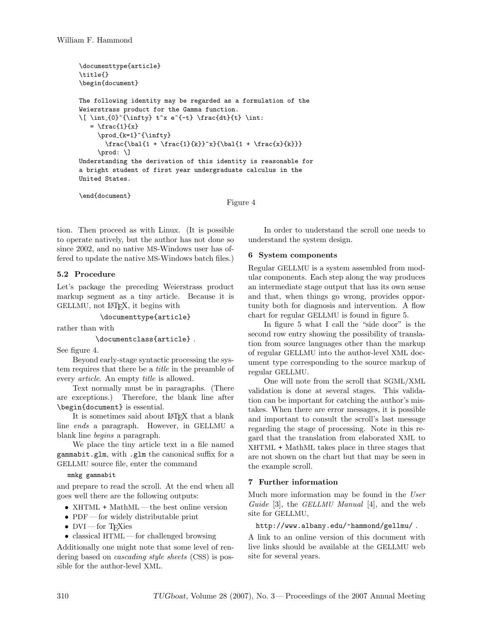```
\documenttype{article}
\title{}
\begin{document}
The following identity may be regarded as a formulation of the
Weierstrass product for the Gamma function.
\lceil \int_{0}^{{\infty} t^x e^{-t} \frac{dt}{t} \int.= \frac{1}{x}\prod_{k=1}^{{\infty}}\frac{\b{1 + \frac{1}{k}}^x}{\b{1 + \frac{x}{k}}}\text{broad: } \iotaUnderstanding the derivation of this identity is reasonable for
a bright student of first year undergraduate calculus in the
United States.
```
\end{document}

Figure 4

tion. Then proceed as with Linux. (It is possible to operate natively, but the author has not done so since 2002, and no native MS-Windows user has offered to update the native MS-Windows batch files.)

# 5.2 Procedure

Let's package the preceding Weierstrass product markup segment as a tiny article. Because it is GELLMU, not LATEX, it begins with

```
\documenttype{article}
```
rather than with

\documentclass{article} .

See figure 4.

Beyond early-stage syntactic processing the system requires that there be a title in the preamble of every article. An empty title is allowed.

Text normally must be in paragraphs. (There are exceptions.) Therefore, the blank line after \begin{document} is essential.

It is sometimes said about LATEX that a blank line ends a paragraph. However, in GELLMU a blank line begins a paragraph.

We place the tiny article text in a file named gammabit.glm, with .glm the canonical suffix for a GELLMU source file, enter the command

#### mmkg gammabit

and prepare to read the scroll. At the end when all goes well there are the following outputs:

- XHTML + MathML the best online version
- PDF for widely distributable print
- $DVI$  for T<sub>F</sub>Xies
- $\bullet\,$  classical HTML for challenged browsing

Additionally one might note that some level of rendering based on cascading style sheets (CSS) is possible for the author-level XML.

In order to understand the scroll one needs to understand the system design.

#### 6 System components

Regular GELLMU is a system assembled from modular components. Each step along the way produces an intermediate stage output that has its own sense and that, when things go wrong, provides opportunity both for diagnosis and intervention. A flow chart for regular GELLMU is found in figure 5.

In figure 5 what I call the "side door" is the second row entry showing the possibility of translation from source languages other than the markup of regular GELLMU into the author-level XML document type corresponding to the source markup of regular GELLMU.

One will note from the scroll that SGML/XML validation is done at several stages. This validation can be important for catching the author's mistakes. When there are error messages, it is possible and important to consult the scroll's last message regarding the stage of processing. Note in this regard that the translation from elaborated XML to XHTML + MathML takes place in three stages that are not shown on the chart but that may be seen in the example scroll.

# 7 Further information

Much more information may be found in the User Guide [3], the GELLMU Manual [4], and the web site for GELLMU,

#### http://www.albany.edu/~hammond/gellmu/ .

A link to an online version of this document with live links should be available at the GELLMU web site for several years.